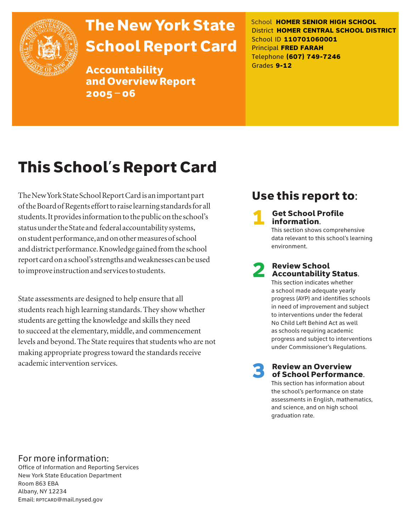

# The New York State School Report Card

Accountability and Overview Report 2005–06

School **HOMER SENIOR HIGH SCHOOL** District **HOMER CENTRAL SCHOOL DISTRICT** School ID **110701060001** Principal **FRED FARAH** Telephone **(607) 749-7246** Grades **9-12**

# This School's Report Card

The New York State School Report Card is an important part of the Board of Regents effort to raise learning standards for all students. It provides information to the public on the school's status under the State and federal accountability systems, on student performance, and on other measures of school and district performance. Knowledge gained from the school report card on a school's strengths and weaknesses can be used to improve instruction and services to students.

State assessments are designed to help ensure that all students reach high learning standards. They show whether students are getting the knowledge and skills they need to succeed at the elementary, middle, and commencement levels and beyond. The State requires that students who are not making appropriate progress toward the standards receive academic intervention services.

### Use this report to:

**Get School Profile** information. This section shows comprehensive

data relevant to this school's learning environment.

# 2 Review School Accountability Status.

This section indicates whether a school made adequate yearly progress (AYP) and identifies schools in need of improvement and subject to interventions under the federal No Child Left Behind Act as well as schools requiring academic progress and subject to interventions under Commissioner's Regulations.

**Review an Overview** of School Performance.

This section has information about the school's performance on state assessments in English, mathematics, and science, and on high school graduation rate.

### For more information:

Office of Information and Reporting Services New York State Education Department Room 863 EBA Albany, NY 12234 Email: RPTCARD@mail.nysed.gov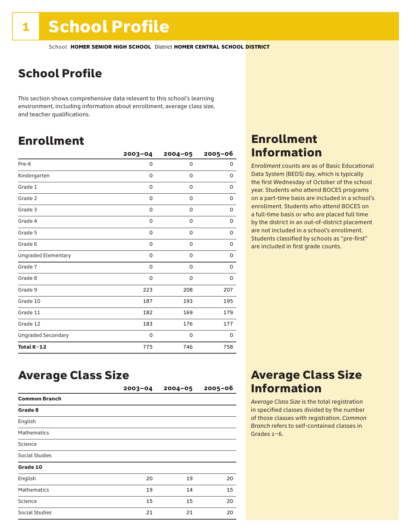## School Profile

This section shows comprehensive data relevant to this school's learning environment, including information about enrollment, average class size, and teacher qualifications.

### Enrollment

|                            | $2003 - 04$ | $2004 - 05$ | 2005-06 |
|----------------------------|-------------|-------------|---------|
| Pre-K                      | 0           | $\mathbf 0$ | 0       |
| Kindergarten               | 0           | 0           | 0       |
| Grade 1                    | 0           | 0           | 0       |
| Grade 2                    | 0           | 0           | 0       |
| Grade 3                    | 0           | 0           | 0       |
| Grade 4                    | 0           | 0           | 0       |
| Grade 5                    | 0           | 0           | 0       |
| Grade 6                    | 0           | 0           | 0       |
| <b>Ungraded Elementary</b> | 0           | 0           | 0       |
| Grade 7                    | 0           | $\mathbf 0$ | 0       |
| Grade 8                    | 0           | 0           | 0       |
| Grade 9                    | 223         | 208         | 207     |
| Grade 10                   | 187         | 193         | 195     |
| Grade 11                   | 182         | 169         | 179     |
| Grade 12                   | 183         | 176         | 177     |
| <b>Ungraded Secondary</b>  | 0           | 0           | 0       |
| Total K-12                 | 775         | 746         | 758     |

### Enrollment Information

*Enrollment* counts are as of Basic Educational Data System (BEDS) day, which is typically the first Wednesday of October of the school year. Students who attend BOCES programs on a part-time basis are included in a school's enrollment. Students who attend BOCES on a full-time basis or who are placed full time by the district in an out-of-district placement are not included in a school's enrollment. Students classified by schools as "pre-first" are included in first grade counts.

### Average Class Size

|                       | $2003 - 04$ | $2004 - 05$ | $2005 - 06$ |
|-----------------------|-------------|-------------|-------------|
| <b>Common Branch</b>  |             |             |             |
| Grade 8               |             |             |             |
| English               |             |             |             |
| <b>Mathematics</b>    |             |             |             |
| Science               |             |             |             |
| <b>Social Studies</b> |             |             |             |
| Grade 10              |             |             |             |
| English               | 20          | 19          | 20          |
| <b>Mathematics</b>    | 19          | 14          | 15          |
| Science               | 15          | 15          | 20          |
| <b>Social Studies</b> | 21          | 21          | 20          |

### Average Class Size Information

*Average Class Size* is the total registration in specified classes divided by the number of those classes with registration. *Common Branch* refers to self-contained classes in Grades 1–6.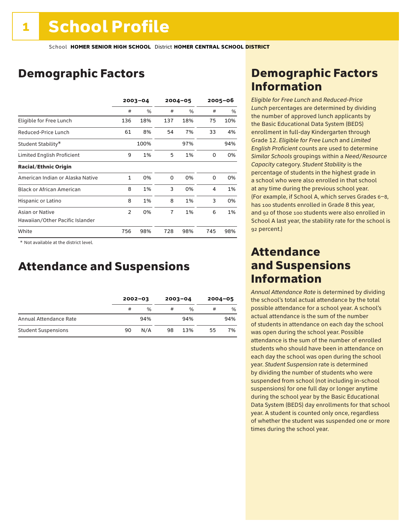### Demographic Factors

|                                                    | $2003 - 04$    |      | $2004 - 05$    |               | $2005 - 06$ |      |
|----------------------------------------------------|----------------|------|----------------|---------------|-------------|------|
|                                                    | #              | %    | #              | $\frac{0}{0}$ | #           | $\%$ |
| Eligible for Free Lunch                            | 136            | 18%  | 137            | 18%           | 75          | 10%  |
| Reduced-Price Lunch                                | 61             | 8%   | 54             | 7%            | 33          | 4%   |
| Student Stability*                                 |                | 100% |                | 97%           |             | 94%  |
| Limited English Proficient                         | 9              | 1%   | 5              | 1%            | 0           | 0%   |
| <b>Racial/Ethnic Origin</b>                        |                |      |                |               |             |      |
| American Indian or Alaska Native                   | 1              | 0%   | 0              | 0%            | 0           | 0%   |
| <b>Black or African American</b>                   | 8              | 1%   | 3              | 0%            | 4           | 1%   |
| Hispanic or Latino                                 | 8              | 1%   | 8              | 1%            | 3           | 0%   |
| Asian or Native<br>Hawaiian/Other Pacific Islander | $\overline{2}$ | 0%   | $\overline{7}$ | 1%            | 6           | 1%   |
| White                                              | 756            | 98%  | 728            | 98%           | 745         | 98%  |

 \* Not available at the district level.

### Attendance and Suspensions

|                            |    | $2002 - 03$   |    | $2003 - 04$   |    | $2004 - 05$ |  |
|----------------------------|----|---------------|----|---------------|----|-------------|--|
|                            | #  | $\frac{0}{6}$ | #  | $\frac{0}{0}$ | #  | %           |  |
| Annual Attendance Rate     |    | 94%           |    | 94%           |    | 94%         |  |
| <b>Student Suspensions</b> | 90 | N/A           | 98 | 13%           | 55 | 7%          |  |

### Demographic Factors Information

*Eligible for Free Lunch* and *Reduced*-*Price Lunch* percentages are determined by dividing the number of approved lunch applicants by the Basic Educational Data System (BEDS) enrollment in full-day Kindergarten through Grade 12. *Eligible for Free Lunch* and *Limited English Proficient* counts are used to determine *Similar Schools* groupings within a *Need*/*Resource Capacity* category. *Student Stability* is the percentage of students in the highest grade in a school who were also enrolled in that school at any time during the previous school year. (For example, if School A, which serves Grades 6–8, has 100 students enrolled in Grade 8 this year, and 92 of those 100 students were also enrolled in School A last year, the stability rate for the school is 92 percent.)

### Attendance and Suspensions Information

*Annual Attendance Rate* is determined by dividing the school's total actual attendance by the total possible attendance for a school year. A school's actual attendance is the sum of the number of students in attendance on each day the school was open during the school year. Possible attendance is the sum of the number of enrolled students who should have been in attendance on each day the school was open during the school year. *Student Suspension* rate is determined by dividing the number of students who were suspended from school (not including in-school suspensions) for one full day or longer anytime during the school year by the Basic Educational Data System (BEDS) day enrollments for that school year. A student is counted only once, regardless of whether the student was suspended one or more times during the school year.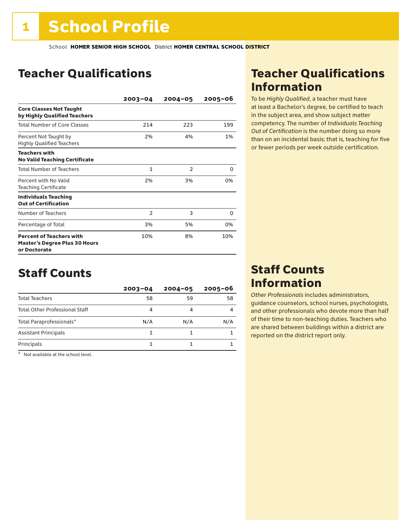### Teacher Qualifications

|                                                                                         | $2003 - 04$    | $2004 - 05$    | $2005 - 06$ |
|-----------------------------------------------------------------------------------------|----------------|----------------|-------------|
| <b>Core Classes Not Taught</b><br>by Highly Qualified Teachers                          |                |                |             |
| <b>Total Number of Core Classes</b>                                                     | 214            | 223            | 199         |
| Percent Not Taught by<br><b>Highly Qualified Teachers</b>                               | 2%             | 4%             | 1%          |
| <b>Teachers with</b><br><b>No Valid Teaching Certificate</b>                            |                |                |             |
| <b>Total Number of Teachers</b>                                                         | 1              | $\overline{2}$ | 0           |
| Percent with No Valid<br><b>Teaching Certificate</b>                                    | 2%             | 3%             | 0%          |
| <b>Individuals Teaching</b><br><b>Out of Certification</b>                              |                |                |             |
| Number of Teachers                                                                      | $\overline{2}$ | 3              | 0           |
| Percentage of Total                                                                     | 3%             | 5%             | 0%          |
| <b>Percent of Teachers with</b><br><b>Master's Degree Plus 30 Hours</b><br>or Doctorate | 10%            | 8%             | 10%         |

### Staff Counts

|                                       | $2003 - 04$ | $2004 - 05$ | $2005 - 06$ |
|---------------------------------------|-------------|-------------|-------------|
| <b>Total Teachers</b>                 | 58          | 59          | 58          |
| <b>Total Other Professional Staff</b> | 4           |             |             |
| Total Paraprofessionals*              | N/A         | N/A         | N/A         |
| <b>Assistant Principals</b>           |             |             |             |
| Principals                            |             |             |             |

\* Not available at the school level.

### Teacher Qualifications Information

To be *Highly Qualified*, a teacher must have at least a Bachelor's degree, be certified to teach in the subject area, and show subject matter competency. The number of *Individuals Teaching Out of Certification* is the number doing so more than on an incidental basis; that is, teaching for five or fewer periods per week outside certification.

### Staff Counts Information

*Other Professionals* includes administrators, guidance counselors, school nurses, psychologists, and other professionals who devote more than half of their time to non-teaching duties. Teachers who are shared between buildings within a district are reported on the district report only.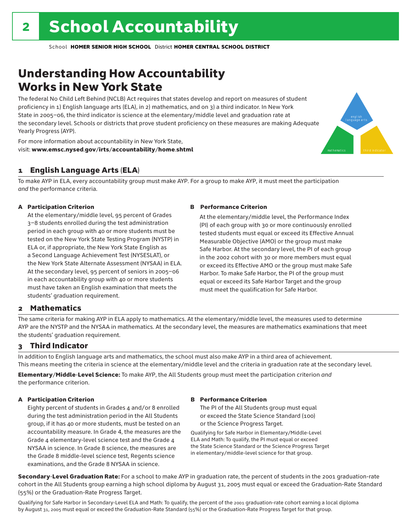### Understanding How Accountability Works in New York State

The federal No Child Left Behind (NCLB) Act requires that states develop and report on measures of student proficiency in 1) English language arts (ELA), in 2) mathematics, and on 3) a third indicator. In New York State in 2005–06, the third indicator is science at the elementary/middle level and graduation rate at the secondary level. Schools or districts that prove student proficiency on these measures are making Adequate Yearly Progress (AYP).



For more information about accountability in New York State, visit: www.emsc.nysed.gov/irts/accountability/home.shtml

#### 1 English Language Arts (ELA)

To make AYP in ELA, every accountability group must make AYP. For a group to make AYP, it must meet the participation *and* the performance criteria.

#### A Participation Criterion

At the elementary/middle level, 95 percent of Grades 3–8 students enrolled during the test administration period in each group with 40 or more students must be tested on the New York State Testing Program (NYSTP) in ELA or, if appropriate, the New York State English as a Second Language Achievement Test (NYSESLAT), or the New York State Alternate Assessment (NYSAA) in ELA. At the secondary level, 95 percent of seniors in 2005–06 in each accountability group with 40 or more students must have taken an English examination that meets the students' graduation requirement.

#### B Performance Criterion

At the elementary/middle level, the Performance Index (PI) of each group with 30 or more continuously enrolled tested students must equal or exceed its Effective Annual Measurable Objective (AMO) or the group must make Safe Harbor. At the secondary level, the PI of each group in the 2002 cohort with 30 or more members must equal or exceed its Effective AMO or the group must make Safe Harbor. To make Safe Harbor, the PI of the group must equal or exceed its Safe Harbor Target and the group must meet the qualification for Safe Harbor.

#### 2 Mathematics

The same criteria for making AYP in ELA apply to mathematics. At the elementary/middle level, the measures used to determine AYP are the NYSTP and the NYSAA in mathematics. At the secondary level, the measures are mathematics examinations that meet the students' graduation requirement.

#### 3 Third Indicator

In addition to English language arts and mathematics, the school must also make AYP in a third area of achievement. This means meeting the criteria in science at the elementary/middle level and the criteria in graduation rate at the secondary level.

Elementary/Middle-Level Science: To make AYP, the All Students group must meet the participation criterion *and* the performance criterion.

#### A Participation Criterion

Eighty percent of students in Grades 4 and/or 8 enrolled during the test administration period in the All Students group, if it has 40 or more students, must be tested on an accountability measure. In Grade 4, the measures are the Grade 4 elementary-level science test and the Grade 4 NYSAA in science. In Grade 8 science, the measures are the Grade 8 middle-level science test, Regents science examinations, and the Grade 8 NYSAA in science.

#### B Performance Criterion

The PI of the All Students group must equal or exceed the State Science Standard (100) or the Science Progress Target.

Qualifying for Safe Harbor in Elementary/Middle-Level ELA and Math: To qualify, the PI must equal or exceed the State Science Standard or the Science Progress Target in elementary/middle-level science for that group.

Secondary-Level Graduation Rate: For a school to make AYP in graduation rate, the percent of students in the 2001 graduation-rate cohort in the All Students group earning a high school diploma by August 31, 2005 must equal or exceed the Graduation-Rate Standard (55%) or the Graduation-Rate Progress Target.

Qualifying for Safe Harbor in Secondary-Level ELA and Math: To qualify, the percent of the 2001 graduation-rate cohort earning a local diploma by August 31, 2005 must equal or exceed the Graduation-Rate Standard (55%) or the Graduation-Rate Progress Target for that group.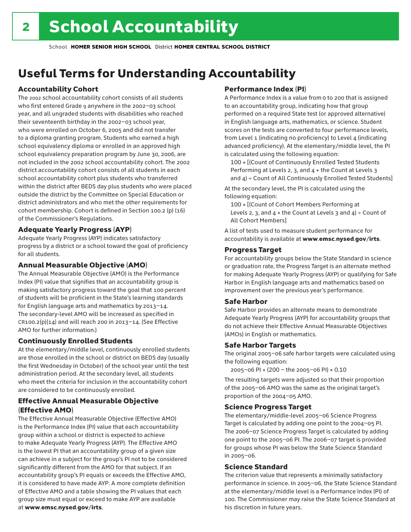## Useful Terms for Understanding Accountability

#### Accountability Cohort

The 2002 school accountability cohort consists of all students who first entered Grade 9 anywhere in the 2002–03 school year, and all ungraded students with disabilities who reached their seventeenth birthday in the 2002–03 school year, who were enrolled on October 6, 2005 and did not transfer to a diploma granting program. Students who earned a high school equivalency diploma or enrolled in an approved high school equivalency preparation program by June 30, 2006, are not included in the 2002 school accountability cohort. The 2002 district accountability cohort consists of all students in each school accountability cohort plus students who transferred within the district after BEDS day plus students who were placed outside the district by the Committee on Special Education or district administrators and who met the other requirements for cohort membership. Cohort is defined in Section 100.2 (p) (16) of the Commissioner's Regulations.

#### Adequate Yearly Progress (AYP)

Adequate Yearly Progress (AYP) indicates satisfactory progress by a district or a school toward the goal of proficiency for all students.

#### Annual Measurable Objective (AMO)

The Annual Measurable Objective (AMO) is the Performance Index (PI) value that signifies that an accountability group is making satisfactory progress toward the goal that 100 percent of students will be proficient in the State's learning standards for English language arts and mathematics by 2013–14. The secondary-level AMO will be increased as specified in  $CR100.2(p)(14)$  and will reach 200 in 2013-14. (See Effective AMO for further information.)

#### Continuously Enrolled Students

At the elementary/middle level, continuously enrolled students are those enrolled in the school or district on BEDS day (usually the first Wednesday in October) of the school year until the test administration period. At the secondary level, all students who meet the criteria for inclusion in the accountability cohort are considered to be continuously enrolled.

#### Effective Annual Measurable Objective (Effective AMO)

The Effective Annual Measurable Objective (Effective AMO) is the Performance Index (PI) value that each accountability group within a school or district is expected to achieve to make Adequate Yearly Progress (AYP). The Effective AMO is the lowest PI that an accountability group of a given size can achieve in a subject for the group's PI not to be considered significantly different from the AMO for that subject. If an accountability group's PI equals or exceeds the Effective AMO, it is considered to have made AYP. A more complete definition of Effective AMO and a table showing the PI values that each group size must equal or exceed to make AYP are available at www.emsc.nysed.gov/irts.

#### Performance Index (PI)

A Performance Index is a value from 0 to 200 that is assigned to an accountability group, indicating how that group performed on a required State test (or approved alternative) in English language arts, mathematics, or science. Student scores on the tests are converted to four performance levels, from Level 1 (indicating no proficiency) to Level 4 (indicating advanced proficiency). At the elementary/middle level, the PI is calculated using the following equation:

100 × [(Count of Continuously Enrolled Tested Students Performing at Levels 2, 3, and 4 + the Count at Levels 3 and  $4$ ) ÷ Count of All Continuously Enrolled Tested Students]

At the secondary level, the PI is calculated using the following equation:

100 × [(Count of Cohort Members Performing at Levels 2, 3, and  $4 +$  the Count at Levels 3 and  $4$ ) ÷ Count of All Cohort Members]

A list of tests used to measure student performance for accountability is available at www.emsc.nysed.gov/irts.

#### Progress Target

For accountability groups below the State Standard in science or graduation rate, the Progress Target is an alternate method for making Adequate Yearly Progress (AYP) or qualifying for Safe Harbor in English language arts and mathematics based on improvement over the previous year's performance.

#### Safe Harbor

Safe Harbor provides an alternate means to demonstrate Adequate Yearly Progress (AYP) for accountability groups that do not achieve their Effective Annual Measurable Objectives (AMOs) in English or mathematics.

#### Safe Harbor Targets

The original 2005–06 safe harbor targets were calculated using the following equation:

2005–06 PI + (200 – the 2005–06 PI) × 0.10

The resulting targets were adjusted so that their proportion of the 2005–06 AMO was the same as the original target's proportion of the 2004–05 AMO.

#### Science Progress Target

The elementary/middle-level 2005–06 Science Progress Target is calculated by adding one point to the 2004–05 PI. The 2006–07 Science Progress Target is calculated by adding one point to the 2005–06 PI. The 2006–07 target is provided for groups whose PI was below the State Science Standard in 2005–06.

#### Science Standard

The criterion value that represents a minimally satisfactory performance in science. In 2005–06, the State Science Standard at the elementary/middle level is a Performance Index (PI) of 100. The Commissioner may raise the State Science Standard at his discretion in future years.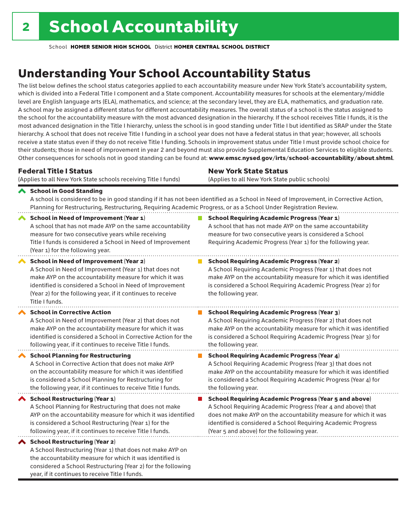considered a School Restructuring (Year 2) for the following

year, if it continues to receive Title I funds.

School **HOMER SENIOR HIGH SCHOOL** District **HOMER CENTRAL SCHOOL DISTRICT**

## Understanding Your School Accountability Status

The list below defines the school status categories applied to each accountability measure under New York State's accountability system, which is divided into a Federal Title I component and a State component. Accountability measures for schools at the elementary/middle level are English language arts (ELA), mathematics, and science; at the secondary level, they are ELA, mathematics, and graduation rate. A school may be assigned a different status for different accountability measures. The overall status of a school is the status assigned to the school for the accountability measure with the most advanced designation in the hierarchy. If the school receives Title I funds, it is the most advanced designation in the Title I hierarchy, unless the school is in good standing under Title I but identified as SRAP under the State hierarchy. A school that does not receive Title I funding in a school year does not have a federal status in that year; however, all schools receive a state status even if they do not receive Title I funding. Schools in improvement status under Title I must provide school choice for their students; those in need of improvement in year 2 and beyond must also provide Supplemental Education Services to eligible students. Other consequences for schools not in good standing can be found at: www.emsc.nysed.gov/irts/school-accountability/about.shtml.

| <b>Federal Title I Status</b>                                                                                                                                                                                                                                                                                   | <b>New York State Status</b>                                                                                                                                                                                                                                                      |
|-----------------------------------------------------------------------------------------------------------------------------------------------------------------------------------------------------------------------------------------------------------------------------------------------------------------|-----------------------------------------------------------------------------------------------------------------------------------------------------------------------------------------------------------------------------------------------------------------------------------|
| (Applies to all New York State schools receiving Title I funds)                                                                                                                                                                                                                                                 | (Applies to all New York State public schools)                                                                                                                                                                                                                                    |
| School in Good Standing<br>Planning for Restructuring, Restructuring, Requiring Academic Progress, or as a School Under Registration Review.                                                                                                                                                                    | A school is considered to be in good standing if it has not been identified as a School in Need of Improvement, in Corrective Action,                                                                                                                                             |
| School in Need of Improvement (Year 1)<br>A school that has not made AYP on the same accountability<br>measure for two consecutive years while receiving<br>Title I funds is considered a School in Need of Improvement<br>(Year 1) for the following year.                                                     | <b>School Requiring Academic Progress (Year 1)</b><br>A school that has not made AYP on the same accountability<br>measure for two consecutive years is considered a School<br>Requiring Academic Progress (Year 1) for the following year.                                       |
| <b>School in Need of Improvement (Year 2)</b><br>A School in Need of Improvement (Year 1) that does not<br>make AYP on the accountability measure for which it was<br>identified is considered a School in Need of Improvement<br>(Year 2) for the following year, if it continues to receive<br>Title I funds. | <b>School Requiring Academic Progress (Year 2)</b><br>A School Requiring Academic Progress (Year 1) that does not<br>make AYP on the accountability measure for which it was identified<br>is considered a School Requiring Academic Progress (Year 2) for<br>the following year. |
| <b>School in Corrective Action</b>                                                                                                                                                                                                                                                                              | <b>School Requiring Academic Progress (Year 3)</b>                                                                                                                                                                                                                                |
| A School in Need of Improvement (Year 2) that does not                                                                                                                                                                                                                                                          | A School Requiring Academic Progress (Year 2) that does not                                                                                                                                                                                                                       |
| make AYP on the accountability measure for which it was                                                                                                                                                                                                                                                         | make AYP on the accountability measure for which it was identified                                                                                                                                                                                                                |
| identified is considered a School in Corrective Action for the                                                                                                                                                                                                                                                  | is considered a School Requiring Academic Progress (Year 3) for                                                                                                                                                                                                                   |
| following year, if it continues to receive Title I funds.                                                                                                                                                                                                                                                       | the following year.                                                                                                                                                                                                                                                               |
| <b>School Planning for Restructuring</b>                                                                                                                                                                                                                                                                        | <b>School Requiring Academic Progress (Year 4)</b>                                                                                                                                                                                                                                |
| A School in Corrective Action that does not make AYP                                                                                                                                                                                                                                                            | A School Requiring Academic Progress (Year 3) that does not                                                                                                                                                                                                                       |
| on the accountability measure for which it was identified                                                                                                                                                                                                                                                       | make AYP on the accountability measure for which it was identified                                                                                                                                                                                                                |
| is considered a School Planning for Restructuring for                                                                                                                                                                                                                                                           | is considered a School Requiring Academic Progress (Year 4) for                                                                                                                                                                                                                   |
| the following year, if it continues to receive Title I funds.                                                                                                                                                                                                                                                   | the following year.                                                                                                                                                                                                                                                               |
| School Restructuring (Year 1)                                                                                                                                                                                                                                                                                   | <b>School Requiring Academic Progress (Year 5 and above)</b>                                                                                                                                                                                                                      |
| A School Planning for Restructuring that does not make                                                                                                                                                                                                                                                          | A School Requiring Academic Progress (Year 4 and above) that                                                                                                                                                                                                                      |
| AYP on the accountability measure for which it was identified                                                                                                                                                                                                                                                   | does not make AYP on the accountability measure for which it was                                                                                                                                                                                                                  |
| is considered a School Restructuring (Year 1) for the                                                                                                                                                                                                                                                           | identified is considered a School Requiring Academic Progress                                                                                                                                                                                                                     |
| following year, if it continues to receive Title I funds.                                                                                                                                                                                                                                                       | (Year 5 and above) for the following year.                                                                                                                                                                                                                                        |
| ◆ School Restructuring (Year 2)<br>A School Restructuring (Year 1) that does not make AYP on<br>the accountability measure for which it was identified is                                                                                                                                                       |                                                                                                                                                                                                                                                                                   |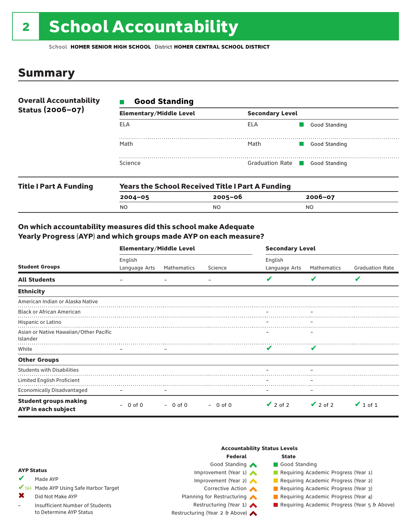# 2 School Accountability

School **HOMER SENIOR HIGH SCHOOL** District **HOMER CENTRAL SCHOOL DISTRICT**

### Summary

| <b>Overall Accountability</b> | <b>Good Standing</b>           |                               |               |  |  |  |
|-------------------------------|--------------------------------|-------------------------------|---------------|--|--|--|
| Status (2006-07)              | <b>Elementary/Middle Level</b> | <b>Secondary Level</b>        |               |  |  |  |
|                               | ELA                            | ELA                           | Good Standing |  |  |  |
|                               | Math                           | Math                          | Good Standing |  |  |  |
|                               | Science                        | Graduation Rate Good Standing |               |  |  |  |
|                               |                                |                               |               |  |  |  |

| <b>Title I Part A Funding</b> | <b>Years the School Received Title I Part A Funding</b> |         |             |  |  |
|-------------------------------|---------------------------------------------------------|---------|-------------|--|--|
|                               | $2004 - 05$                                             | 2005-06 | $2006 - 07$ |  |  |
|                               | <b>NO</b>                                               | NO.     | NO          |  |  |

#### On which accountability measures did this school make Adequate Yearly Progress (AYP) and which groups made AYP on each measure?

|                                                     | <b>Elementary/Middle Level</b> |             |             | <b>Secondary Level</b>   |               |                        |
|-----------------------------------------------------|--------------------------------|-------------|-------------|--------------------------|---------------|------------------------|
| <b>Student Groups</b>                               | English<br>Language Arts       | Mathematics | Science     | English<br>Language Arts | Mathematics   | <b>Graduation Rate</b> |
| <b>All Students</b>                                 |                                |             |             | v                        | v             | V                      |
| <b>Ethnicity</b>                                    |                                |             |             |                          |               |                        |
| American Indian or Alaska Native                    |                                |             |             |                          |               |                        |
| <b>Black or African American</b>                    |                                |             |             |                          |               |                        |
| Hispanic or Latino                                  |                                |             |             |                          |               |                        |
| Asian or Native Hawaiian/Other Pacific<br>Islander  |                                |             |             |                          |               |                        |
| White                                               |                                |             |             | v                        | V             |                        |
| <b>Other Groups</b>                                 |                                |             |             |                          |               |                        |
| <b>Students with Disabilities</b>                   |                                |             |             |                          |               |                        |
| Limited English Proficient                          |                                |             |             |                          |               |                        |
| <b>Economically Disadvantaged</b>                   | $\overline{\phantom{m}}$       |             |             | -                        |               |                        |
| <b>Student groups making</b><br>AYP in each subject | 0 of 0                         | $-0$ of 0   | $-0$ of $0$ | $\vee$ 2 of 2            | $\vee$ 2 of 2 | $\vee$ 1 of 1          |

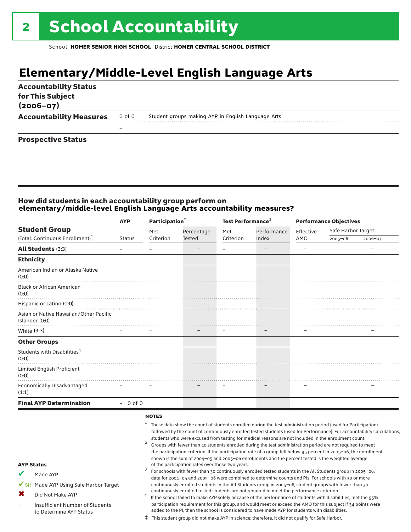## **Elementary/Middle-Level English Language Arts**

| <b>Accountability Status</b><br>for This Subject<br>$(2006 - 07)$ |        |                                                    |
|-------------------------------------------------------------------|--------|----------------------------------------------------|
| <b>Accountability Measures</b>                                    | 0 of 0 | Student groups making AYP in English Language Arts |
|                                                                   |        |                                                    |
| <b>Prospective Status</b>                                         |        |                                                    |

### How did students in each accountability group perform on **elementary/middle-level English Language Arts accountability measures?**

|                                                          | <b>AYP</b>    |              | Participation <sup>2</sup> |           | Test Performance <sup>3</sup>                                                                                 |           | <b>Performance Objectives</b> |         |  |
|----------------------------------------------------------|---------------|--------------|----------------------------|-----------|---------------------------------------------------------------------------------------------------------------|-----------|-------------------------------|---------|--|
| <b>Student Group</b>                                     |               | Met          | Percentage                 | Met       | Performance                                                                                                   | Effective | Safe Harbor Target            |         |  |
| (Total: Continuous Enrollment) <sup>1</sup>              | <b>Status</b> | Criterion    | <b>Tested</b>              | Criterion | Index                                                                                                         | AMO       | $2005 - 06$                   | 2006-07 |  |
| <b>All Students (3:3)</b>                                |               |              |                            |           |                                                                                                               |           |                               |         |  |
| <b>Ethnicity</b>                                         |               |              |                            |           |                                                                                                               |           |                               |         |  |
| American Indian or Alaska Native<br>(0:0)                |               |              |                            |           |                                                                                                               |           |                               |         |  |
| <b>Black or African American</b><br>(0:0)                |               |              |                            |           |                                                                                                               |           |                               |         |  |
| Hispanic or Latino (0:0)                                 |               |              |                            |           |                                                                                                               |           |                               |         |  |
| Asian or Native Hawaiian/Other Pacific<br>Islander (0:0) |               |              |                            |           |                                                                                                               |           |                               |         |  |
| White (3:3)                                              |               |              |                            |           | $\overline{\phantom{m}}$                                                                                      |           |                               |         |  |
| <b>Other Groups</b>                                      |               |              |                            |           |                                                                                                               |           |                               |         |  |
| Students with Disabilities <sup>4</sup><br>(0:0)         |               |              |                            |           |                                                                                                               |           |                               |         |  |
| <b>Limited English Proficient</b><br>(0:0)               |               |              |                            |           |                                                                                                               |           |                               |         |  |
| <b>Economically Disadvantaged</b><br>(1:1)               |               |              |                            |           |                                                                                                               |           |                               |         |  |
| <b>Final AYP Determination</b>                           | $-0$ of 0     |              |                            |           |                                                                                                               |           |                               |         |  |
|                                                          |               | <b>NOTES</b> |                            |           | These data show the count of students enrolled during the test administration period (used for Participation) |           |                               |         |  |

| <b>AYP Status</b> |                                                            |  | followed by the count of continuously enrolled tested students (used for Performance). For accountability calculations,<br>students who were excused from testing for medical reasons are not included in the enrollment count.<br>Groups with fewer than 40 students enrolled during the test administration period are not required to meet<br>the participation criterion. If the participation rate of a group fell below 95 percent in 2005-06, the enrollment<br>shown is the sum of 2004-05 and 2005-06 enrollments and the percent tested is the weighted average<br>of the participation rates over those two years. |  |  |  |  |
|-------------------|------------------------------------------------------------|--|-------------------------------------------------------------------------------------------------------------------------------------------------------------------------------------------------------------------------------------------------------------------------------------------------------------------------------------------------------------------------------------------------------------------------------------------------------------------------------------------------------------------------------------------------------------------------------------------------------------------------------|--|--|--|--|
|                   | Made AYP                                                   |  | For schools with fewer than 30 continuously enrolled tested students in the All Students group in 2005-06,<br>data for 2004-05 and 2005-06 were combined to determine counts and PIs. For schools with 30 or more                                                                                                                                                                                                                                                                                                                                                                                                             |  |  |  |  |
|                   | SH Made AYP Using Safe Harbor Target                       |  | continuously enrolled students in the All Students group in 2005-06, student groups with fewer than 30                                                                                                                                                                                                                                                                                                                                                                                                                                                                                                                        |  |  |  |  |
| х                 | Did Not Make AYP                                           |  | continuously enrolled tested students are not required to meet the performance criterion.<br>If the school failed to make AYP solely because of the performance of students with disabilities, met the 95%                                                                                                                                                                                                                                                                                                                                                                                                                    |  |  |  |  |
|                   | Insufficient Number of Students<br>to Determine AYP Status |  | participation requirement for this group, and would meet or exceed the AMO for this subject if 34 points were<br>added to the PI, then the school is considered to have made AYP for students with disabilities.                                                                                                                                                                                                                                                                                                                                                                                                              |  |  |  |  |
|                   |                                                            |  | This student group did not make AYP in science; therefore, it did not qualify for Safe Harbor.                                                                                                                                                                                                                                                                                                                                                                                                                                                                                                                                |  |  |  |  |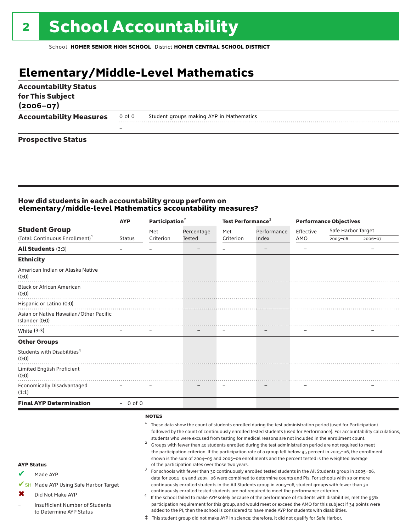## **Elementary/Middle-Level Mathematics**

| <b>Accountability Status</b><br>for This Subject<br>$(2006 - 07)$ |                          |                                          |
|-------------------------------------------------------------------|--------------------------|------------------------------------------|
| <b>Accountability Measures</b>                                    | 0 of 0                   | Student groups making AYP in Mathematics |
|                                                                   | $\overline{\phantom{0}}$ |                                          |

#### Prospective Status

#### How did students in each accountability group perform on **elementary/middle-level Mathematics accountability measures?**

|                                                          | <b>AYP</b>    | Participation <sup>2</sup> |               | Test Performance <sup>3</sup> |                          |           | <b>Performance Objectives</b> |         |
|----------------------------------------------------------|---------------|----------------------------|---------------|-------------------------------|--------------------------|-----------|-------------------------------|---------|
| <b>Student Group</b>                                     |               | Met                        | Percentage    | Met                           | Performance              | Effective | Safe Harbor Target            |         |
| (Total: Continuous Enrollment) <sup>1</sup>              | <b>Status</b> | Criterion                  | <b>Tested</b> | Criterion                     | Index                    | AMO       | 2005-06                       | 2006-07 |
| <b>All Students (3:3)</b>                                |               |                            |               |                               | $\overline{\phantom{0}}$ |           |                               |         |
| <b>Ethnicity</b>                                         |               |                            |               |                               |                          |           |                               |         |
| American Indian or Alaska Native<br>(0:0)                |               |                            |               |                               |                          |           |                               |         |
| <b>Black or African American</b><br>(0:0)                |               |                            |               |                               |                          |           |                               |         |
| Hispanic or Latino (0:0)                                 |               |                            |               |                               |                          |           |                               |         |
| Asian or Native Hawaiian/Other Pacific<br>Islander (0:0) |               |                            |               |                               |                          |           |                               |         |
| White (3:3)                                              |               |                            |               |                               |                          |           |                               |         |
| <b>Other Groups</b>                                      |               |                            |               |                               |                          |           |                               |         |
| Students with Disabilities <sup>4</sup><br>(0:0)         |               |                            |               |                               |                          |           |                               |         |
| Limited English Proficient<br>(0:0)                      |               |                            |               |                               |                          |           |                               |         |
| <b>Economically Disadvantaged</b><br>(1:1)               |               |                            |               |                               |                          |           |                               |         |
| <b>Final AYP Determination</b>                           | $-0$ of 0     |                            |               |                               |                          |           |                               |         |
|                                                          |               | <b>NOTES</b>               |               |                               |                          |           |                               |         |

|                   |                                      | These data show the count of students enrolled during the test administration period (used for Participation)           |  |  |  |
|-------------------|--------------------------------------|-------------------------------------------------------------------------------------------------------------------------|--|--|--|
|                   |                                      | followed by the count of continuously enrolled tested students (used for Performance). For accountability calculations, |  |  |  |
|                   |                                      | students who were excused from testing for medical reasons are not included in the enrollment count.                    |  |  |  |
|                   |                                      | Groups with fewer than 40 students enrolled during the test administration period are not required to meet              |  |  |  |
|                   |                                      | the participation criterion. If the participation rate of a group fell below 95 percent in 2005-06, the enrollment      |  |  |  |
|                   |                                      | shown is the sum of 2004-05 and 2005-06 enrollments and the percent tested is the weighted average                      |  |  |  |
| <b>AYP Status</b> |                                      | of the participation rates over those two years.                                                                        |  |  |  |
| V                 | Made AYP                             | For schools with fewer than 30 continuously enrolled tested students in the All Students group in 2005-06,              |  |  |  |
|                   |                                      | data for 2004-05 and 2005-06 were combined to determine counts and PIs. For schools with 30 or more                     |  |  |  |
|                   | SH Made AYP Using Safe Harbor Target | continuously enrolled students in the All Students group in 2005-06, student groups with fewer than 30                  |  |  |  |
| Х                 | Did Not Make AYP                     | continuously enrolled tested students are not required to meet the performance criterion.                               |  |  |  |
|                   |                                      | If the school failed to make AYP solely because of the performance of students with disabilities, met the 95%           |  |  |  |
|                   | Insufficient Number of Students      | participation requirement for this group, and would meet or exceed the AMO for this subject if 34 points were           |  |  |  |
|                   | to Determine AYP Status              | added to the PI, then the school is considered to have made AYP for students with disabilities.                         |  |  |  |
|                   |                                      | This student group did not make AYP in science; therefore, it did not qualify for Safe Harbor.                          |  |  |  |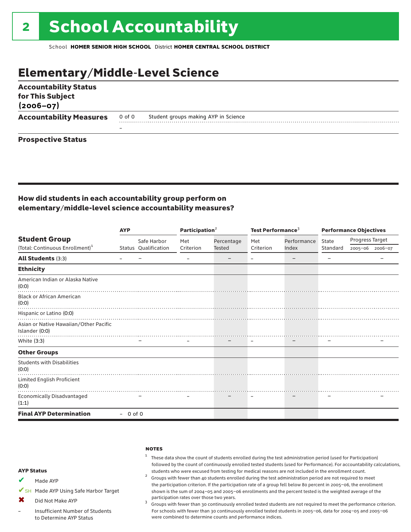### Elementary/Middle-Level Science

| <b>Accountability Status</b><br>for This Subject<br>$(2006 - 07)$ |        |                                      |  |
|-------------------------------------------------------------------|--------|--------------------------------------|--|
| <b>Accountability Measures</b>                                    | 0 of 0 | Student groups making AYP in Science |  |
|                                                                   | -      |                                      |  |
| <b>Prospective Status</b>                                         |        |                                      |  |

#### How did students in each accountability group perform on elementary/middle-level science accountability measures?

|                                                          | <b>AYP</b> |                      | Participation <sup>2</sup> |               | Test Performance <sup>3</sup> |             | <b>Performance Objectives</b> |                 |                 |
|----------------------------------------------------------|------------|----------------------|----------------------------|---------------|-------------------------------|-------------|-------------------------------|-----------------|-----------------|
| <b>Student Group</b>                                     |            | Safe Harbor          | Met                        | Percentage    | Met                           | Performance | State                         | Progress Target |                 |
| (Total: Continuous Enrollment) <sup>1</sup>              |            | Status Qualification | Criterion                  | <b>Tested</b> | Criterion                     | Index       | Standard                      |                 | 2005-06 2006-07 |
| <b>All Students (3:3)</b>                                |            |                      |                            |               |                               |             |                               |                 |                 |
| <b>Ethnicity</b>                                         |            |                      |                            |               |                               |             |                               |                 |                 |
| American Indian or Alaska Native<br>(0:0)                |            |                      |                            |               |                               |             |                               |                 |                 |
| <b>Black or African American</b><br>(0:0)                |            |                      |                            |               |                               |             |                               |                 |                 |
| Hispanic or Latino (0:0)                                 |            |                      |                            |               |                               |             |                               |                 |                 |
| Asian or Native Hawaiian/Other Pacific<br>Islander (0:0) |            |                      |                            |               |                               |             |                               |                 |                 |
| White (3:3)                                              |            |                      |                            |               |                               |             |                               |                 |                 |
| <b>Other Groups</b>                                      |            |                      |                            |               |                               |             |                               |                 |                 |
| <b>Students with Disabilities</b><br>(0:0)               |            |                      |                            |               |                               |             |                               |                 |                 |
| Limited English Proficient<br>(0:0)                      |            |                      |                            |               |                               |             |                               |                 |                 |
| Economically Disadvantaged<br>(1:1)                      |            |                      |                            |               |                               |             |                               |                 |                 |
| <b>Final AYP Determination</b>                           | $-0$ of 0  |                      |                            |               |                               |             |                               |                 |                 |

#### **NOTES**

#### $1$  These data show the count of students enrolled during the test administration period (used for Participation) followed by the count of continuously enrolled tested students (used for Performance). For accountability calculations,

## students who were excused from testing for medical reasons are not included in the enrollment count. <sup>2</sup> Groups with fewer than <sup>40</sup> students enrolled during the test administration period are not required to meet

the participation criterion. If the participation rate of a group fell below 80 percent in 2005–06, the enrollment shown is the sum of 2004–05 and 2005–06 enrollments and the percent tested is the weighted average of the participation rates over those two years.<br><sup>3</sup> Groups with fewer than 30 continuously enrolled tested students are not required to meet the performance criterion.

For schools with fewer than 30 continuously enrolled tested students in 2005–06, data for 2004–05 and 2005–06 were combined to determine counts and performance indices.

#### AYP Status

Made AYP ✔

✔SH Made AYP Using Safe Harbor Target

Did Not Make AYP  $\mathbf x$ 

Insufficient Number of Students to Determine AYP Status –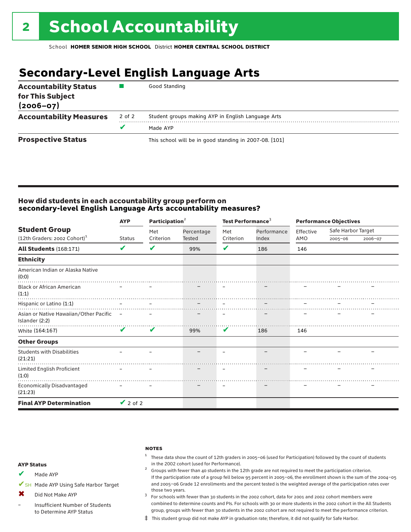## **Secondary-Level English Language Arts**

| <b>Accountability Status</b><br>for This Subject<br>$(2006 - 07)$ |        | Good Standing                                          |
|-------------------------------------------------------------------|--------|--------------------------------------------------------|
| <b>Accountability Measures</b>                                    | 2 of 2 | Student groups making AYP in English Language Arts     |
|                                                                   |        | Made AYP                                               |
| <b>Prospective Status</b>                                         |        | This school will be in good standing in 2007-08. [101] |

#### How did students in each accountability group perform on **secondary-level English Language Arts accountability measures?**

|                                                                    | <b>AYP</b>    | Participation <sup>2</sup> |                          | Test Performance <sup>3</sup> |                          | <b>Performance Objectives</b> |                                   |         |
|--------------------------------------------------------------------|---------------|----------------------------|--------------------------|-------------------------------|--------------------------|-------------------------------|-----------------------------------|---------|
| <b>Student Group</b><br>$(12th$ Graders: 2002 Cohort) <sup>1</sup> | <b>Status</b> | Met<br>Criterion           | Percentage<br>Tested     | Met<br>Criterion              | Performance<br>Index     | Effective<br>AMO              | Safe Harbor Target<br>$2005 - 06$ | 2006-07 |
|                                                                    |               |                            |                          |                               |                          |                               |                                   |         |
| <b>All Students (168:171)</b>                                      | V             | V                          | 99%                      | V                             | 186                      | 146                           |                                   |         |
| <b>Ethnicity</b>                                                   |               |                            |                          |                               |                          |                               |                                   |         |
| American Indian or Alaska Native<br>(0:0)                          |               |                            |                          |                               |                          |                               |                                   |         |
| <b>Black or African American</b><br>(1:1)                          |               |                            |                          |                               |                          |                               |                                   |         |
| Hispanic or Latino (1:1)                                           |               |                            |                          |                               |                          |                               |                                   |         |
| Asian or Native Hawaiian/Other Pacific -<br>Islander (2:2)         |               |                            |                          |                               |                          |                               |                                   |         |
| White (164:167)                                                    | V             | $\mathbf v$                | 99%                      | V                             | 186                      | 146                           |                                   |         |
| <b>Other Groups</b>                                                |               |                            |                          |                               |                          |                               |                                   |         |
| <b>Students with Disabilities</b><br>(21:21)                       |               |                            | $\overline{\phantom{a}}$ |                               | $\overline{\phantom{0}}$ |                               |                                   |         |
| Limited English Proficient<br>(1:0)                                |               |                            |                          |                               |                          |                               |                                   |         |
| <b>Economically Disadvantaged</b><br>(21:23)                       |               |                            |                          |                               |                          |                               |                                   |         |
| <b>Final AYP Determination</b>                                     | $\vee$ 2 of 2 |                            |                          |                               |                          |                               |                                   |         |

#### **NOTES**

### $1$  These data show the count of 12th graders in 2005-06 (used for Participation) followed by the count of students in the 2002 cohort (used for Performance). <sup>2</sup> Groups with fewer than 40 students in the 12th grade are not required to meet the participation criterion.

- Made AYP ✔
- ✔SH Made AYP Using Safe Harbor Target
- Did Not Make AYP ✖
- Insufficient Number of Students to Determine AYP Status –
- those two years.  $3$  For schools with fewer than 30 students in the 2002 cohort, data for 2001 and 2002 cohort members were combined to determine counts and PIs. For schools with 30 or more students in the 2002 cohort in the All Students group, groups with fewer than 30 students in the 2002 cohort are not required to meet the performance criterion.

If the participation rate of a group fell below 95 percent in 2005–06, the enrollment shown is the sum of the 2004–05 and 2005–06 Grade 12 enrollments and the percent tested is the weighted average of the participation rates over

‡ This student group did not make AYP in graduation rate; therefore, it did not qualify for Safe Harbor.

#### AYP Status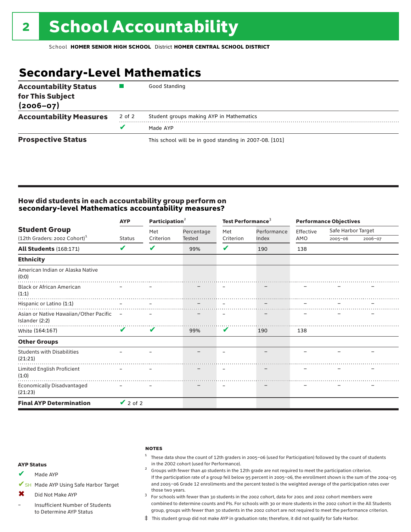## **Secondary-Level Mathematics**

| <b>Accountability Status</b><br>for This Subject<br>$(2006 - 07)$ |        | Good Standing                                          |
|-------------------------------------------------------------------|--------|--------------------------------------------------------|
| <b>Accountability Measures</b>                                    | 2 of 2 | Student groups making AYP in Mathematics               |
|                                                                   | v      | Made AYP                                               |
| <b>Prospective Status</b>                                         |        | This school will be in good standing in 2007-08. [101] |

#### How did students in each accountability group perform on **secondary-level Mathematics accountability measures?**

|                                                            | <b>AYP</b>    | Participation <sup>2</sup> |            | Test Performance <sup>3</sup> |             | <b>Performance Objectives</b> |                    |         |
|------------------------------------------------------------|---------------|----------------------------|------------|-------------------------------|-------------|-------------------------------|--------------------|---------|
| <b>Student Group</b>                                       |               | Met                        | Percentage | Met                           | Performance | Effective                     | Safe Harbor Target |         |
| (12th Graders: 2002 Cohort) <sup>1</sup>                   | <b>Status</b> | Criterion                  | Tested     | Criterion                     | Index       | AMO                           | $2005 - 06$        | 2006-07 |
| <b>All Students (168:171)</b>                              | V             | V                          | 99%        | V                             | 190         | 138                           |                    |         |
| <b>Ethnicity</b>                                           |               |                            |            |                               |             |                               |                    |         |
| American Indian or Alaska Native<br>(0:0)                  |               |                            |            |                               |             |                               |                    |         |
| <b>Black or African American</b><br>(1:1)                  |               |                            |            |                               |             |                               |                    |         |
| Hispanic or Latino (1:1)                                   |               |                            |            |                               |             |                               |                    |         |
| Asian or Native Hawaiian/Other Pacific -<br>Islander (2:2) |               |                            |            |                               |             |                               |                    |         |
| White (164:167)                                            | $\checkmark$  | V                          | 99%        | V                             | 190         | 138                           |                    |         |
| <b>Other Groups</b>                                        |               |                            |            |                               |             |                               |                    |         |
| <b>Students with Disabilities</b><br>(21:21)               |               |                            |            |                               |             |                               |                    |         |
| Limited English Proficient<br>(1:0)<br>.                   |               |                            |            |                               |             |                               |                    |         |
| Economically Disadvantaged<br>(21:23)                      |               |                            |            | $\overline{\phantom{m}}$      |             |                               |                    |         |
| <b>Final AYP Determination</b>                             | $\vee$ 2 of 2 |                            |            |                               |             |                               |                    |         |

#### **NOTES**

 $1$  These data show the count of 12th graders in 2005-06 (used for Participation) followed by the count of students in the 2002 cohort (used for Performance).<br><sup>2</sup> Groups with fewer than 40 students in the 12th grade are not required to meet the participation criterion.

#### AYP Status

Made AYP ✔

✔SH Made AYP Using Safe Harbor Target

Did Not Make AYP  $\mathbf x$ 

Insufficient Number of Students to Determine AYP Status –

those two years.  $3$  For schools with fewer than 30 students in the 2002 cohort, data for 2001 and 2002 cohort members were combined to determine counts and PIs. For schools with 30 or more students in the 2002 cohort in the All Students group, groups with fewer than 30 students in the 2002 cohort are not required to meet the performance criterion.

If the participation rate of a group fell below 95 percent in 2005–06, the enrollment shown is the sum of the 2004–05 and 2005–06 Grade 12 enrollments and the percent tested is the weighted average of the participation rates over

‡ This student group did not make AYP in graduation rate; therefore, it did not qualify for Safe Harbor.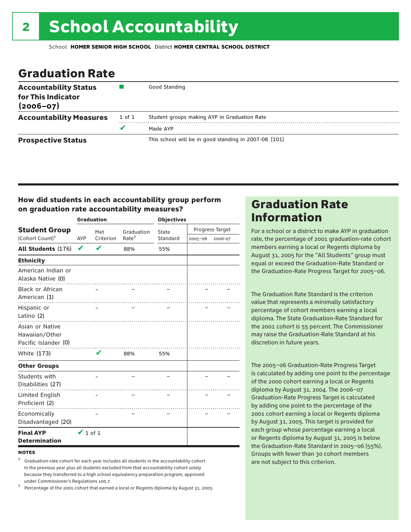### Graduation Rate

| <b>Accountability Status</b><br>for This Indicator<br>$(2006 - 07)$ |        | Good Standing                                          |
|---------------------------------------------------------------------|--------|--------------------------------------------------------|
| <b>Accountability Measures</b>                                      | 1 of 1 | Student groups making AYP in Graduation Rate           |
|                                                                     | v      | Made AYP                                               |
| <b>Prospective Status</b>                                           |        | This school will be in good standing in 2007-08. [101] |

#### How did students in each accountability group perform on graduation rate accountability measures?

|                                                           |               | <b>Graduation</b> |                   | <b>Objectives</b> |                 |         |  |
|-----------------------------------------------------------|---------------|-------------------|-------------------|-------------------|-----------------|---------|--|
| <b>Student Group</b>                                      |               | Met               | Graduation        | State             | Progress Target |         |  |
| (Cohort Count) <sup>1</sup>                               | <b>AYP</b>    | Criterion         | Rate <sup>2</sup> | Standard          | $2005 - 06$     | 2006-07 |  |
| All Students (176)                                        | V             | ✔                 | 88%               | 55%               |                 |         |  |
| <b>Ethnicity</b>                                          |               |                   |                   |                   |                 |         |  |
| American Indian or<br>Alaska Native (0)                   |               |                   |                   |                   |                 |         |  |
| <b>Black or African</b><br>American (1)                   |               |                   |                   |                   |                 |         |  |
| Hispanic or<br>Latino (2)                                 |               |                   |                   |                   |                 |         |  |
| Asian or Native<br>Hawaiian/Other<br>Pacific Islander (0) |               |                   |                   |                   |                 |         |  |
| White (173)                                               |               | V                 | 88%               | 55%               |                 |         |  |
| <b>Other Groups</b>                                       |               |                   |                   |                   |                 |         |  |
| Students with<br>Disabilities (27)                        |               |                   |                   |                   |                 |         |  |
| Limited English<br>Proficient (2)                         |               |                   |                   |                   |                 |         |  |
| Economically<br>Disadvantaged (20)                        |               |                   |                   |                   |                 |         |  |
| <b>Final AYP</b><br><b>Determination</b>                  | $\vee$ 1 of 1 |                   |                   |                   |                 |         |  |

#### **NOTES**

<sup>1</sup> Graduation-rate cohort for each year includes all students in the accountability cohort in the previous year plus all students excluded from that accountability cohort solely because they transferred to a high school equivalency preparation program, approved

under Commissioner's Regulations 100.7. <sup>2</sup> Percentage of the 2001 cohort that earned a local or Regents diploma by August 31, 2005.

### Graduation Rate Information

For a school or a district to make AYP in graduation rate, the percentage of 2001 graduation-rate cohort members earning a local or Regents diploma by August 31, 2005 for the "All Students" group must equal or exceed the Graduation-Rate Standard or the Graduation-Rate Progress Target for 2005–06.

The Graduation Rate Standard is the criterion value that represents a minimally satisfactory percentage of cohort members earning a local diploma. The State Graduation-Rate Standard for the 2001 cohort is 55 percent. The Commissioner may raise the Graduation-Rate Standard at his discretion in future years.

The 2005–06 Graduation-Rate Progress Target is calculated by adding one point to the percentage of the 2000 cohort earning a local or Regents diploma by August 31, 2004. The 2006–07 Graduation-Rate Progress Target is calculated by adding one point to the percentage of the 2001 cohort earning a local or Regents diploma by August 31, 2005. This target is provided for each group whose percentage earning a local or Regents diploma by August 31, 2005 is below the Graduation-Rate Standard in 2005–06 (55%). Groups with fewer than 30 cohort members are not subject to this criterion.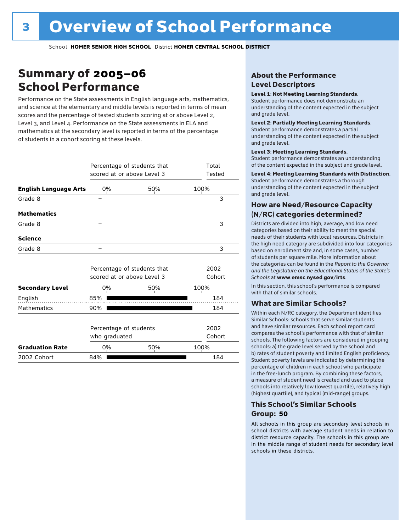### Summary of 2005–06 School Performance

Performance on the State assessments in English language arts, mathematics, and science at the elementary and middle levels is reported in terms of mean scores and the percentage of tested students scoring at or above Level 2, Level 3, and Level 4. Performance on the State assessments in ELA and mathematics at the secondary level is reported in terms of the percentage of students in a cohort scoring at these levels.

|                              | scored at or above Level 3              | Percentage of students that | Total<br>Tested |
|------------------------------|-----------------------------------------|-----------------------------|-----------------|
| <b>English Language Arts</b> | 0%                                      | 50%                         | 100%            |
| Grade 8                      |                                         |                             | 3               |
| <b>Mathematics</b>           |                                         |                             |                 |
| Grade 8                      |                                         |                             | 3               |
| <b>Science</b>               |                                         |                             |                 |
| Grade 8                      |                                         |                             | 3               |
|                              | scored at or above Level 3              | Percentage of students that | 2002<br>Cohort  |
| <b>Secondary Level</b>       | 0%                                      | 50%                         | 100%            |
| English                      | 85%                                     |                             | 184             |
| <b>Mathematics</b>           | 90%                                     |                             | 184             |
|                              | Percentage of students<br>who graduated |                             | 2002<br>Cohort  |
| <b>Graduation Rate</b>       | 0%                                      | 50%                         | 100%            |
| 2002 Cohort                  | 84%                                     |                             | 184             |

#### About the Performance Level Descriptors

#### Level 1: Not Meeting Learning Standards.

Student performance does not demonstrate an understanding of the content expected in the subject and grade level.

#### Level 2: Partially Meeting Learning Standards.

Student performance demonstrates a partial understanding of the content expected in the subject and grade level.

#### Level 3: Meeting Learning Standards.

Student performance demonstrates an understanding of the content expected in the subject and grade level.

#### Level 4: Meeting Learning Standards with Distinction.

Student performance demonstrates a thorough understanding of the content expected in the subject and grade level.

#### How are Need/Resource Capacity (N/RC) categories determined?

Districts are divided into high, average, and low need categories based on their ability to meet the special needs of their students with local resources. Districts in the high need category are subdivided into four categories based on enrollment size and, in some cases, number of students per square mile. More information about the categories can be found in the *Report to the Governor and the Legislature on the Educational Status of the State's Schools* at www.emsc.nysed.gov/irts.

In this section, this school's performance is compared with that of similar schools.

#### What are Similar Schools?

Within each N/RC category, the Department identifies Similar Schools: schools that serve similar students and have similar resources. Each school report card compares the school's performance with that of similar schools. The following factors are considered in grouping schools: a) the grade level served by the school and b) rates of student poverty and limited English proficiency. Student poverty levels are indicated by determining the percentage of children in each school who participate in the free-lunch program. By combining these factors, a measure of student need is created and used to place schools into relatively low (lowest quartile), relatively high (highest quartile), and typical (mid-range) groups.

#### This School's Similar Schools Group: **50**

All schools in this group are secondary level schools in school districts with average student needs in relation to district resource capacity. The schools in this group are in the middle range of student needs for secondary level schools in these districts.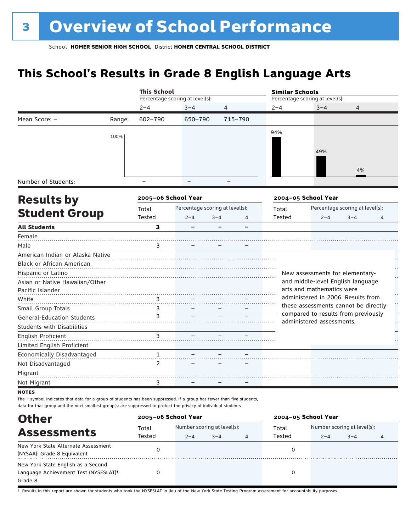## **This School's Results in Grade 8 English Language Arts**

|                                   |        | <b>This School</b>      |                                 |         |         | <b>Similar Schools</b> |                                 |                                      |                |
|-----------------------------------|--------|-------------------------|---------------------------------|---------|---------|------------------------|---------------------------------|--------------------------------------|----------------|
|                                   |        |                         | Percentage scoring at level(s): |         |         |                        | Percentage scoring at level(s): |                                      |                |
|                                   |        | $2 - 4$                 | $3 - 4$                         | 4       |         | $2 - 4$                | $3 - 4$                         | 4                                    |                |
| Mean Score: -                     | Range: | 602-790                 | 650-790                         |         | 715-790 |                        |                                 |                                      |                |
|                                   | 100%   |                         |                                 |         |         | 94%                    |                                 |                                      |                |
|                                   |        |                         |                                 |         |         |                        |                                 |                                      |                |
|                                   |        |                         |                                 |         |         |                        | 49%                             |                                      |                |
|                                   |        |                         |                                 |         |         |                        |                                 | 4%                                   |                |
| Number of Students:               |        |                         |                                 |         |         |                        |                                 |                                      |                |
|                                   |        |                         |                                 |         |         |                        |                                 |                                      |                |
| <b>Results by</b>                 |        | 2005-06 School Year     |                                 |         |         |                        | 2004-05 School Year             |                                      |                |
| <b>Student Group</b>              |        | Total                   | Percentage scoring at level(s): |         |         | Total                  |                                 | Percentage scoring at level(s):      |                |
|                                   |        | Tested                  | $2 - 4$                         | $3 - 4$ | 4       | Tested                 | $2 - 4$                         | $3 - 4$                              | $\overline{4}$ |
| <b>All Students</b>               |        | $\overline{\mathbf{3}}$ |                                 |         |         |                        |                                 |                                      |                |
| Female                            |        |                         |                                 |         |         |                        |                                 |                                      |                |
| Male                              |        | 3                       |                                 |         |         |                        |                                 |                                      |                |
| American Indian or Alaska Native  |        |                         |                                 |         |         |                        |                                 |                                      |                |
| Black or African American         |        |                         |                                 |         |         |                        |                                 |                                      |                |
| Hispanic or Latino                |        |                         |                                 |         |         |                        |                                 | New assessments for elementary-      |                |
| Asian or Native Hawaiian/Other    |        |                         |                                 |         |         |                        |                                 | and middle-level English language    |                |
| Pacific Islander                  |        |                         |                                 |         |         |                        | arts and mathematics were       |                                      |                |
| White                             |        | 3                       |                                 |         |         |                        |                                 | administered in 2006. Results from   |                |
| Small Group Totals                |        | 3                       |                                 |         |         |                        |                                 | these assessments cannot be directly |                |
| <b>General-Education Students</b> |        | 3                       |                                 |         |         |                        | administered assessments.       | compared to results from previously  |                |
| <b>Students with Disabilities</b> |        |                         |                                 |         |         |                        |                                 |                                      |                |
| English Proficient                |        | $\overline{3}$ .        |                                 |         |         |                        |                                 |                                      |                |
| Limited English Proficient        |        |                         |                                 |         |         |                        |                                 |                                      |                |
| Economically Disadvantaged        |        | 1                       |                                 |         |         |                        |                                 |                                      |                |
| Not Disadvantaged                 |        | $\overline{2}$          |                                 |         |         |                        |                                 |                                      |                |
| Migrant                           |        |                         |                                 |         |         |                        |                                 |                                      |                |
| Not Migrant                       |        | 3                       |                                 |         |         |                        |                                 |                                      |                |
| <b>NOTES</b>                      |        |                         |                                 |         |         |                        |                                 |                                      |                |

The – symbol indicates that data for a group of students has been suppressed. If a group has fewer than five students, data for that group and the next smallest group(s) are suppressed to protect the privacy of individual students.

| <b>Other</b>                                                                            |                 | 2005-06 School Year                               |  |   | 2004-05 School Year |                                                   |  |   |
|-----------------------------------------------------------------------------------------|-----------------|---------------------------------------------------|--|---|---------------------|---------------------------------------------------|--|---|
| <b>Assessments</b>                                                                      | Total<br>Tested | Number scoring at level(s):<br>$3 - 4$<br>$2 - 4$ |  |   | Total<br>Tested     | Number scoring at level(s):<br>$3 - 4$<br>$2 - 4$ |  |   |
| New York State Alternate Assessment<br>(NYSAA): Grade 8 Equivalent                      |                 |                                                   |  | 4 |                     |                                                   |  | 4 |
| New York State English as a Second<br>Language Achievement Test (NYSESLAT)t:<br>Grade 8 |                 |                                                   |  |   |                     |                                                   |  |   |

† Results in this report are shown for students who took the NYSESLAT in lieu of the New York State Testing Program assessment for accountability purposes.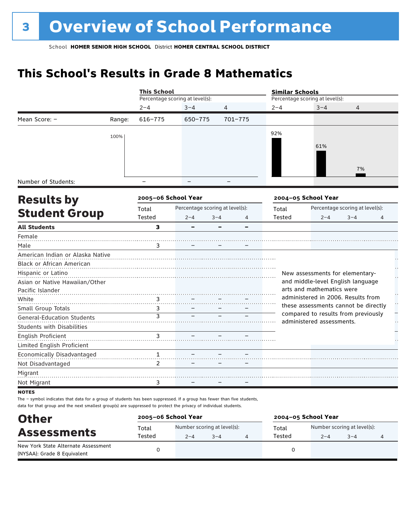## **This School's Results in Grade 8 Mathematics**

|                                   |        | <b>This School</b>  |                                 |              | <b>Similar Schools</b> |                                                                  |                                 |                            |
|-----------------------------------|--------|---------------------|---------------------------------|--------------|------------------------|------------------------------------------------------------------|---------------------------------|----------------------------|
|                                   |        |                     | Percentage scoring at level(s): |              |                        | Percentage scoring at level(s):                                  |                                 |                            |
|                                   |        | $2 - 4$             | $3 - 4$                         | 4            | $2 - 4$                | $3 - 4$                                                          | $\overline{4}$                  |                            |
| Mean Score: -                     | Range: | $616 - 775$         | 650-775                         | 701-775      |                        |                                                                  |                                 |                            |
|                                   | 100%   |                     |                                 |              | 92%                    |                                                                  |                                 |                            |
|                                   |        |                     |                                 |              |                        | 61%                                                              |                                 |                            |
|                                   |        |                     |                                 |              |                        |                                                                  |                                 |                            |
|                                   |        |                     |                                 |              |                        |                                                                  | 7%                              |                            |
| Number of Students:               |        |                     |                                 |              |                        |                                                                  |                                 |                            |
| <b>Results by</b>                 |        | 2005-06 School Year |                                 |              |                        | 2004-05 School Year                                              |                                 |                            |
|                                   |        | Total               | Percentage scoring at level(s): |              | Total                  |                                                                  | Percentage scoring at level(s): |                            |
| <b>Student Group</b>              |        | Tested              | $2 - 4$                         | $3 - 4$<br>4 | Tested                 | $2 - 4$                                                          | $3 - 4$                         | 4                          |
| <b>All Students</b>               |        | 3                   |                                 | -            |                        |                                                                  |                                 |                            |
| Female                            |        |                     |                                 |              |                        |                                                                  |                                 |                            |
| Male                              |        | 3                   |                                 |              |                        |                                                                  |                                 |                            |
| American Indian or Alaska Native  |        |                     |                                 |              |                        |                                                                  |                                 |                            |
| Black or African American         |        |                     |                                 |              |                        |                                                                  |                                 |                            |
| Hispanic or Latino                |        |                     |                                 |              |                        | New assessments for elementary-                                  |                                 | $\ddot{\phantom{0}}$<br>μ, |
| Asian or Native Hawaiian/Other    |        |                     |                                 |              |                        | and middle-level English language                                |                                 |                            |
| Pacific Islander                  |        |                     |                                 |              |                        | arts and mathematics were                                        |                                 |                            |
| White                             |        | 3                   |                                 |              |                        | administered in 2006. Results from                               |                                 | $\ddot{\phantom{0}}$       |
| Small Group Totals                |        | 3                   |                                 |              |                        | these assessments cannot be directly                             |                                 |                            |
| <b>General-Education Students</b> |        | $\overline{3}$      |                                 |              |                        | compared to results from previously<br>administered assessments. |                                 |                            |
| <b>Students with Disabilities</b> |        |                     |                                 |              |                        |                                                                  |                                 |                            |
| English Proficient                |        | 3                   |                                 |              |                        |                                                                  |                                 |                            |
| Limited English Proficient        |        |                     |                                 |              |                        |                                                                  |                                 |                            |
| Economically Disadvantaged        |        | 1                   |                                 |              |                        |                                                                  |                                 |                            |
| Not Disadvantaged                 |        | $\overline{2}$      |                                 |              |                        |                                                                  |                                 |                            |
| Migrant                           |        |                     |                                 |              |                        |                                                                  |                                 |                            |
| Not Migrant                       |        | 3                   |                                 |              |                        |                                                                  |                                 |                            |
| <b>HATEC</b>                      |        |                     |                                 |              |                        |                                                                  |                                 |                            |

**NOTES** 

The – symbol indicates that data for a group of students has been suppressed. If a group has fewer than five students, data for that group and the next smallest group(s) are suppressed to protect the privacy of individual students.

| <b>Other</b>                                                       | 2005-06 School Year |         |                             |  | 2004-05 School Year |         |         |  |  |
|--------------------------------------------------------------------|---------------------|---------|-----------------------------|--|---------------------|---------|---------|--|--|
| <b>Assessments</b>                                                 | Total               | Total   | Number scoring at level(s): |  |                     |         |         |  |  |
|                                                                    | Tested              | $2 - 4$ | $3 - 4$                     |  | Tested              | $2 - 4$ | $3 - 4$ |  |  |
| New York State Alternate Assessment<br>(NYSAA): Grade 8 Equivalent |                     |         |                             |  |                     |         |         |  |  |
|                                                                    |                     |         |                             |  |                     |         |         |  |  |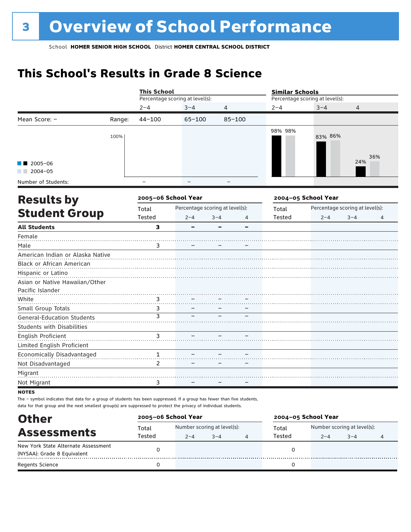## **This School's Results in Grade 8 Science**

|                                   |        | <b>This School</b> |                                 |         |            | <b>Similar Schools</b> |                                 |                                 |     |
|-----------------------------------|--------|--------------------|---------------------------------|---------|------------|------------------------|---------------------------------|---------------------------------|-----|
|                                   |        |                    | Percentage scoring at level(s): |         |            |                        | Percentage scoring at level(s): |                                 |     |
|                                   |        | $2 - 4$            | $3 - 4$                         | 4       |            | $2 - 4$                | $3 - 4$                         | 4                               |     |
| Mean Score: -                     | Range: | $44 - 100$         | $65 - 100$                      |         | $85 - 100$ |                        |                                 |                                 |     |
|                                   | 100%   |                    |                                 |         |            | 98% 98%                | 83% 86%                         |                                 |     |
| $2005 - 06$<br>$2004 - 05$        |        |                    |                                 |         |            |                        |                                 | 24%                             | 36% |
| Number of Students:               |        |                    |                                 |         |            |                        |                                 |                                 |     |
| <b>Results by</b>                 |        |                    | 2005-06 School Year             |         |            |                        | 2004-05 School Year             |                                 |     |
|                                   |        | Total              | Percentage scoring at level(s): |         |            | Total                  |                                 | Percentage scoring at level(s): |     |
| <b>Student Group</b>              |        | Tested             | $2 - 4$                         | $3 - 4$ | 4          | Tested                 | $2 - 4$                         | $3 - 4$                         | 4   |
| <b>All Students</b>               |        | $\mathbf{3}$       |                                 |         |            |                        |                                 |                                 |     |
| Female                            |        |                    |                                 |         |            |                        |                                 |                                 |     |
| Male                              |        | 3                  |                                 |         |            |                        |                                 |                                 |     |
| American Indian or Alaska Native  |        |                    |                                 |         |            |                        |                                 |                                 |     |
| Black or African American         |        |                    |                                 |         |            |                        |                                 |                                 |     |
| Hispanic or Latino                |        |                    |                                 |         |            |                        |                                 |                                 |     |
| Asian or Native Hawaiian/Other    |        |                    |                                 |         |            |                        |                                 |                                 |     |
| Pacific Islander                  |        |                    |                                 |         |            |                        |                                 |                                 |     |
| White                             |        | 3                  |                                 |         |            |                        |                                 |                                 |     |
| Small Group Totals                |        | 3                  |                                 |         |            |                        |                                 |                                 |     |
| <b>General-Education Students</b> |        | 3                  |                                 |         |            |                        |                                 |                                 |     |
| <b>Students with Disabilities</b> |        |                    |                                 |         |            |                        |                                 |                                 |     |
| English Proficient                |        | 3                  |                                 |         |            |                        |                                 |                                 |     |
| Limited English Proficient        |        |                    |                                 |         |            |                        |                                 |                                 |     |
| Economically Disadvantaged        |        | 1                  |                                 |         |            |                        |                                 |                                 |     |
| Not Disadvantaged                 |        | 2                  |                                 |         |            |                        |                                 |                                 |     |
| Migrant                           |        |                    |                                 |         |            |                        |                                 |                                 |     |
| Not Migrant                       |        | 3                  |                                 |         |            |                        |                                 |                                 |     |
| <b>NOTES</b>                      |        |                    |                                 |         |            |                        |                                 |                                 |     |

The – symbol indicates that data for a group of students has been suppressed. If a group has fewer than five students, data for that group and the next smallest group(s) are suppressed to protect the privacy of individual students.

| <b>Other</b>                        | 2005-06 School Year |                             |         |   | 2004-05 School Year |                             |         |  |
|-------------------------------------|---------------------|-----------------------------|---------|---|---------------------|-----------------------------|---------|--|
|                                     | Total               | Number scoring at level(s): |         |   | Total               | Number scoring at level(s): |         |  |
| <b>Assessments</b>                  | Tested              | $2 - 4$                     | $3 - 4$ | 4 | Tested              | $2 - 4$                     | $3 - 4$ |  |
| New York State Alternate Assessment |                     |                             |         |   |                     |                             |         |  |
| (NYSAA): Grade 8 Equivalent         |                     |                             |         |   |                     |                             |         |  |
| <b>Regents Science</b>              |                     |                             |         |   |                     |                             |         |  |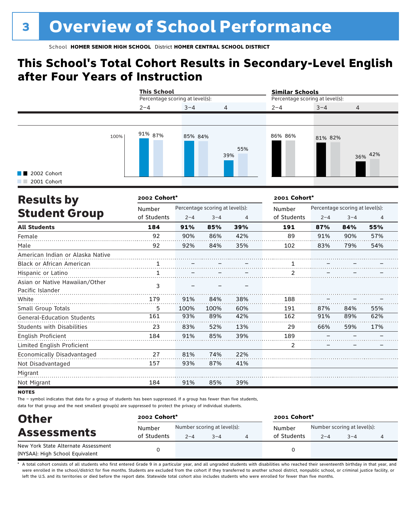### **This School's Total Cohort Results in Secondary-Level English after Four Years of Instruction**

|                            |      | <b>This School</b><br>Percentage scoring at level(s): |         |                | <b>Similar Schools</b><br>Percentage scoring at level(s): |         |                |  |
|----------------------------|------|-------------------------------------------------------|---------|----------------|-----------------------------------------------------------|---------|----------------|--|
|                            |      | $2 - 4$                                               | $3 - 4$ | $\overline{4}$ | $2 - 4$                                                   | $3 - 4$ | $\overline{4}$ |  |
|                            |      |                                                       |         |                |                                                           |         |                |  |
| 2002 Cohort<br>2001 Cohort | 100% | 91% 87%                                               | 85% 84% | 55%<br>39%     | 86% 86%                                                   | 81% 82% | 36% 42%        |  |

| <b>Results by</b>                                  | 2002 Cohort* |         |                                 |     | 2001 Cohort* |         |                                 |     |
|----------------------------------------------------|--------------|---------|---------------------------------|-----|--------------|---------|---------------------------------|-----|
|                                                    | Number       |         | Percentage scoring at level(s): |     | Number       |         | Percentage scoring at level(s): |     |
| <b>Student Group</b>                               | of Students  | $2 - 4$ | $3 - 4$                         | 4   | of Students  | $2 - 4$ | $3 - 4$                         | 4   |
| <b>All Students</b>                                | 184          | 91%     | 85%                             | 39% | 191          | 87%     | 84%                             | 55% |
| Female                                             | 92           | 90%     | 86%                             | 42% | 89           | 91%     | 90%                             | 57% |
| Male                                               | 92           | 92%     | 84%                             | 35% | 102          | 83%     | 79%                             | 54% |
| American Indian or Alaska Native                   |              |         |                                 |     |              |         |                                 |     |
| Black or African American                          |              |         |                                 |     |              |         |                                 |     |
| Hispanic or Latino                                 | 1            |         |                                 |     | 2            |         |                                 |     |
| Asian or Native Hawaiian/Other<br>Pacific Islander | 3            |         |                                 |     |              |         |                                 |     |
| White                                              | 179          | 91%     | 84%                             | 38% | 188          |         |                                 |     |
| Small Group Totals                                 | 5            | 100%    | 100%                            | 60% | 191          | 87%     | 84%                             | 55% |
| <b>General-Education Students</b>                  | 161          | 93%     | 89%                             | 42% | 162          | 91%     | 89%                             | 62% |
| <b>Students with Disabilities</b>                  | 23           | 83%     | 52%                             | 13% | 29           | 66%     | 59%                             | 17% |
| English Proficient                                 | 184          | 91%     | 85%                             | 39% | 189          |         |                                 |     |
| Limited English Proficient                         |              |         |                                 |     | 2            |         |                                 |     |
| Economically Disadvantaged                         | 27           | 81%     | 74%                             | 22% |              |         |                                 |     |
| Not Disadvantaged                                  | 157          | 93%     | 87%                             | 41% |              |         |                                 |     |
| Migrant                                            |              |         |                                 |     |              |         |                                 |     |
| Not Migrant                                        | 184          | 91%     | 85%                             | 39% |              |         |                                 |     |

**NOTES** 

The – symbol indicates that data for a group of students has been suppressed. If a group has fewer than five students, data for that group and the next smallest group(s) are suppressed to protect the privacy of individual students.

| <b>Other</b>                        | 2002 Cohort* |         |                             | 2001 Cohort* |         |                             |  |
|-------------------------------------|--------------|---------|-----------------------------|--------------|---------|-----------------------------|--|
| <b>Assessments</b>                  | Number       |         | Number scoring at level(s): | Number       |         | Number scoring at level(s): |  |
|                                     | of Students  | $2 - 4$ | $3 - 4$                     | of Students  | $2 - 4$ | $3 - 4$                     |  |
| New York State Alternate Assessment |              |         |                             |              |         |                             |  |
| (NYSAA): High School Equivalent     |              |         |                             |              |         |                             |  |

A total cohort consists of all students who first entered Grade 9 in a particular year, and all ungraded students with disabilities who reached their seventeenth birthday in that year, and were enrolled in the school/district for five months. Students are excluded from the cohort if they transferred to another school district, nonpublic school, or criminal justice facility, or left the U.S. and its territories or died before the report date. Statewide total cohort also includes students who were enrolled for fewer than five months.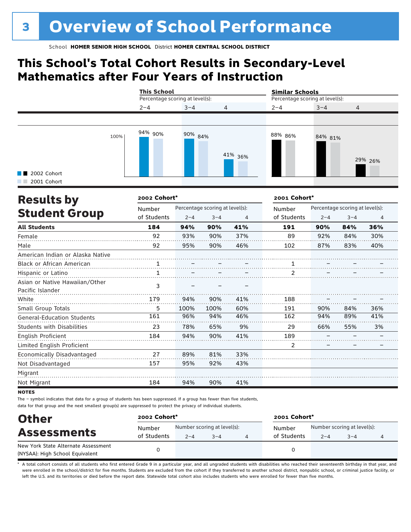### **This School's Total Cohort Results in Secondary-Level Mathematics after Four Years of Instruction**

|                                           |      | <b>This School</b><br>Percentage scoring at level(s): |         |                | <b>Similar Schools</b><br>Percentage scoring at level(s): |         |                |
|-------------------------------------------|------|-------------------------------------------------------|---------|----------------|-----------------------------------------------------------|---------|----------------|
|                                           |      | $2 - 4$                                               | $3 - 4$ | $\overline{4}$ | $2 - 4$                                                   | $3 - 4$ | $\overline{4}$ |
| $\blacksquare$ 2002 Cohort<br>2001 Cohort | 100% | 94% 90%                                               | 90% 84% | 41% 36%        | 88% 86%                                                   | 84% 81% | 29% 26%        |

| <b>Results by</b>                 | 2002 Cohort* |         |                                 |     | 2001 Cohort* |         |                                 |                |  |
|-----------------------------------|--------------|---------|---------------------------------|-----|--------------|---------|---------------------------------|----------------|--|
|                                   | Number       |         | Percentage scoring at level(s): |     | Number       |         | Percentage scoring at level(s): |                |  |
| <b>Student Group</b>              | of Students  | $2 - 4$ | $3 - 4$                         | 4   | of Students  | $2 - 4$ | $3 - 4$                         | $\overline{4}$ |  |
| <b>All Students</b>               | 184          | 94%     | 90%                             | 41% | 191          | 90%     | 84%                             | 36%            |  |
| Female                            | 92           | 93%     | 90%                             | 37% | 89           | 92%     | 84%                             | 30%            |  |
| Male                              | 92           | 95%     | 90%                             | 46% | 102          | 87%     | 83%                             | 40%            |  |
| American Indian or Alaska Native  |              |         |                                 |     |              |         |                                 |                |  |
| <b>Black or African American</b>  |              |         |                                 |     |              |         |                                 |                |  |
| Hispanic or Latino                | 1            |         |                                 |     | 2            |         |                                 |                |  |
| Asian or Native Hawaiian/Other    | 3            |         |                                 |     |              |         |                                 |                |  |
| Pacific Islander                  |              |         |                                 |     |              |         |                                 |                |  |
| White                             | 179          | 94%     | 90%                             | 41% | 188          |         |                                 |                |  |
| Small Group Totals                | 5            | 100%    | 100%                            | 60% | 191          | 90%     | 84%                             | 36%            |  |
| <b>General-Education Students</b> | 161          | 96%     | 94%                             | 46% | 162          | 94%     | 89%                             | 41%            |  |
| Students with Disabilities        | 23           | 78%     | 65%                             | 9%  | 29           | 66%     | 55%                             | 3%             |  |
| English Proficient                | 184          | 94%     | 90%                             | 41% | 189          |         |                                 |                |  |
| Limited English Proficient        |              |         |                                 |     | 2            |         |                                 |                |  |
| Economically Disadvantaged        | 27           | 89%     | 81%                             | 33% |              |         |                                 |                |  |
| Not Disadvantaged                 | 157          | 95%     | 92%                             | 43% |              |         |                                 |                |  |
| Migrant                           |              |         |                                 |     |              |         |                                 |                |  |
| Not Migrant                       | 184          | 94%     | 90%                             | 41% |              |         |                                 |                |  |

**NOTES** 

The – symbol indicates that data for a group of students has been suppressed. If a group has fewer than five students, data for that group and the next smallest group(s) are suppressed to protect the privacy of individual students.

| <b>Other</b><br><b>Assessments</b><br>New York State Alternate Assessment | 2002 Cohort* |                             |         |  | 2001 Cohort* |                             |         |  |  |
|---------------------------------------------------------------------------|--------------|-----------------------------|---------|--|--------------|-----------------------------|---------|--|--|
|                                                                           | Number       | Number scoring at level(s): |         |  | Number       | Number scoring at level(s): |         |  |  |
|                                                                           | of Students  | $2 - 4$                     | $3 - 4$ |  | of Students  | $2 - 4$                     | $3 - 4$ |  |  |
| (NYSAA): High School Equivalent                                           |              |                             |         |  |              |                             |         |  |  |

A total cohort consists of all students who first entered Grade 9 in a particular year, and all ungraded students with disabilities who reached their seventeenth birthday in that year, and were enrolled in the school/district for five months. Students are excluded from the cohort if they transferred to another school district, nonpublic school, or criminal justice facility, or left the U.S. and its territories or died before the report date. Statewide total cohort also includes students who were enrolled for fewer than five months.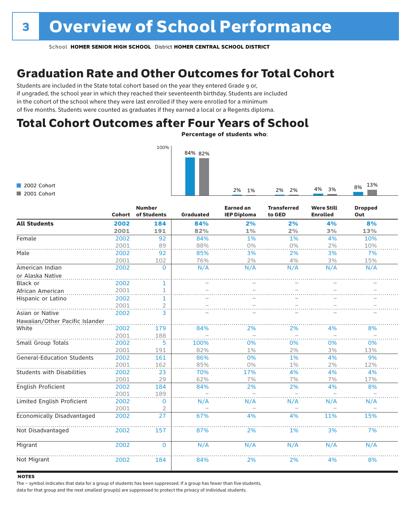### Graduation Rate and Other Outcomes for Total Cohort

Students are included in the State total cohort based on the year they entered Grade 9 or, if ungraded, the school year in which they reached their seventeenth birthday. Students are included in the cohort of the school where they were last enrolled if they were enrolled for a minimum of five months. Students were counted as graduates if they earned a local or a Regents diploma.

### Total Cohort Outcomes after Four Years of School

Percentage of students who:

2% 1% 2% 2% 4% 3% 8% 13%



2002 Cohort 2001 Cohort

|                                   | Cohort | <b>Number</b><br>of Students | <b>Graduated</b> | <b>Earned an</b><br><b>IEP Diploma</b> | <b>Transferred</b><br>to GED | <b>Were Still</b><br><b>Enrolled</b> | <b>Dropped</b><br>Out |
|-----------------------------------|--------|------------------------------|------------------|----------------------------------------|------------------------------|--------------------------------------|-----------------------|
| <b>All Students</b>               | 2002   | 184                          | 84%              | 2%                                     | 2%                           | 4%                                   | 8%                    |
|                                   | 2001   | 191                          | 82%              | 1%                                     | 2%                           | 3%                                   | 13%                   |
| Female                            | 2002   | 92                           | 84%              | 1%                                     | 1%                           | 4%                                   | 10%                   |
|                                   | 2001   | 89                           | 88%              | 0%                                     | 0%                           | 2%                                   | 10%                   |
| Male                              | 2002   | 92                           | 85%              | 3%                                     | 2%                           | 3%                                   | 7%                    |
|                                   | 2001   | 102                          | 76%              | 2%                                     | 4%                           | 3%                                   | 15%                   |
| American Indian                   | 2002   | $\mathbf 0$                  | N/A              | N/A                                    | N/A                          | N/A                                  | N/A                   |
| or Alaska Native                  |        |                              |                  |                                        |                              |                                      |                       |
| Black or                          | 2002   | 1                            |                  |                                        |                              |                                      |                       |
| African American                  | 2001   | $\mathbf 1$                  |                  |                                        |                              |                                      |                       |
| Hispanic or Latino                | 2002   | 1                            |                  |                                        |                              |                                      |                       |
|                                   | 2001   | $\overline{\mathcal{L}}$     |                  |                                        |                              |                                      |                       |
| Asian or Native                   | 2002   | 3                            |                  |                                        |                              |                                      |                       |
| Hawaiian/Other Pacific Islander   |        |                              |                  |                                        |                              |                                      |                       |
| White                             | 2002   | 179                          | 84%              | 2%                                     | 2%                           | 4%                                   | 8%                    |
|                                   | 2001   | 188                          |                  |                                        |                              |                                      |                       |
| Small Group Totals                | 2002   | 5                            | 100%             | 0%                                     | 0%                           | 0%                                   | 0%                    |
|                                   | 2001   | 191                          | 82%              | $1\%$                                  | 2%                           | 3%                                   | 13%                   |
| <b>General-Education Students</b> | 2002   | 161                          | 86%              | 0%                                     | 1%                           | 4%                                   | 9%                    |
|                                   | 2001   | 162                          | 85%              | $0\%$                                  | 1%                           | 2%                                   | 12%                   |
| <b>Students with Disabilities</b> | 2002   | 23                           | 70%              | 17%                                    | 4%                           | 4%                                   | 4%                    |
|                                   | 2001   | 29                           | 62%              | 7%                                     | 7%                           | 7%                                   | 17%                   |
| English Proficient                | 2002   | 184                          | 84%              | 2%                                     | 2%                           | 4%                                   | 8%                    |
|                                   | 2001   | 189                          |                  |                                        |                              |                                      |                       |
| Limited English Proficient        | 2002   | 0                            | N/A              | N/A                                    | N/A                          | N/A                                  | N/A                   |
|                                   | 2001   | 2                            |                  |                                        |                              |                                      |                       |
| Economically Disadvantaged        | 2002   | 27                           | 67%              | 4%                                     | 4%                           | 11%                                  | 15%                   |
| Not Disadvantaged                 | 2002   | 157                          | 87%              | 2%                                     | 1%                           | 3%                                   | 7%                    |
| Migrant                           | 2002   | $\mathbf{0}$                 | N/A              | N/A                                    | N/A                          | N/A                                  | N/A                   |
| Not Migrant                       | 2002   | 184                          | 84%              | 2%                                     | 2%                           | 4%                                   | 8%                    |

#### **NOTES**

The – symbol indicates that data for a group of students has been suppressed. If a group has fewer than five students,

data for that group and the next smallest group(s) are suppressed to protect the privacy of individual students.